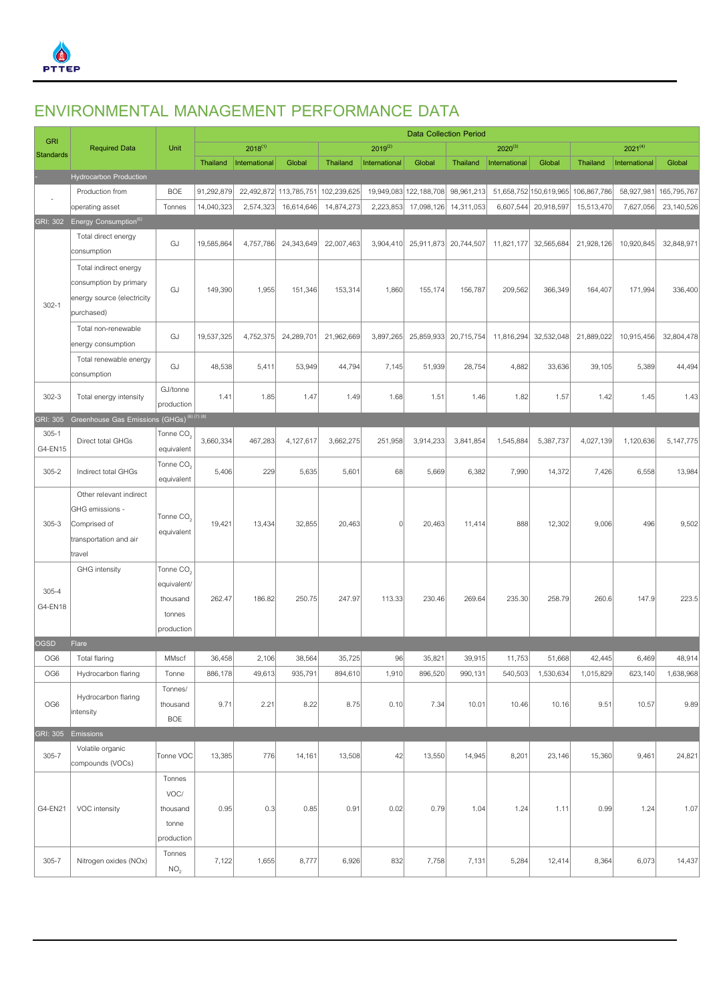

## **ENVIRONMENTAL MANAGEMENT PERFORMANCE DATA**

|                  |                                                      | <b>Data Collection Period</b> |                 |               |             |                 |               |                        |            |               |                        |             |               |             |
|------------------|------------------------------------------------------|-------------------------------|-----------------|---------------|-------------|-----------------|---------------|------------------------|------------|---------------|------------------------|-------------|---------------|-------------|
| <b>GRI</b>       | <b>Required Data</b>                                 | Unit                          |                 | $2018^{(1)}$  |             |                 | $2019^{(2)}$  |                        |            | $2020^{(3)}$  |                        |             | $2021^{(4)}$  |             |
| <b>Standards</b> |                                                      |                               | <b>Thailand</b> | International | Global      | <b>Thailand</b> | International | Global                 | Thailand   | International | Global                 | Thailand    | International | Global      |
|                  | <b>Hydrocarbon Production</b>                        |                               |                 |               |             |                 |               |                        |            |               |                        |             |               |             |
|                  | Production from                                      | <b>BOE</b>                    | 91,292,879      | 22,492,872    | 113,785,751 | 102,239,625     |               | 19,949,083 122,188,708 | 98,961,213 |               | 51,658,752 150,619,965 | 106,867,786 | 58,927,981    | 165,795,767 |
|                  | operating asset                                      | Tonnes                        | 14,040,323      | 2,574,323     | 16,614,646  | 14,874,273      | 2,223,853     | 17,098,126             | 14,311,053 | 6,607,544     | 20,918,597             | 15,513,470  | 7,627,056     | 23,140,526  |
| GRI: 302         | Energy Consumption <sup>(5)</sup>                    |                               |                 |               |             |                 |               |                        |            |               |                        |             |               |             |
|                  | Total direct energy                                  | GJ                            | 19,585,864      | 4,757,786     | 24,343,649  | 22,007,463      | 3,904,410     | 25,911,873             | 20,744,507 | 11,821,177    | 32,565,684             | 21,928,126  | 10,920,845    | 32,848,971  |
|                  | consumption                                          |                               |                 |               |             |                 |               |                        |            |               |                        |             |               |             |
|                  | Total indirect energy                                |                               |                 |               |             |                 |               |                        |            |               |                        |             |               |             |
|                  | consumption by primary                               | GJ                            | 149,390         | 1,955         | 151,346     | 153,314         | 1,860         | 155,174                | 156,787    | 209,562       | 366,349                | 164,407     | 171,994       | 336,400     |
| $302 - 1$        | energy source (electricity                           |                               |                 |               |             |                 |               |                        |            |               |                        |             |               |             |
|                  | purchased)                                           |                               |                 |               |             |                 |               |                        |            |               |                        |             |               |             |
|                  | Total non-renewable                                  |                               |                 |               |             |                 |               |                        |            |               |                        |             |               |             |
|                  | energy consumption                                   | GJ                            | 19,537,325      | 4,752,375     | 24,289,701  | 21,962,669      | 3,897,265     | 25,859,933             | 20,715,754 | 11,816,294    | 32,532,048             | 21,889,022  | 10,915,456    | 32,804,478  |
|                  | Total renewable energy                               |                               |                 |               |             |                 |               |                        |            |               |                        |             |               |             |
|                  | consumption                                          | GJ                            | 48,538          | 5,411         | 53,949      | 44,794          | 7,145         | 51,939                 | 28,754     | 4,882         | 33,636                 | 39,105      | 5,389         | 44,494      |
|                  |                                                      | GJ/tonne                      |                 |               |             |                 |               |                        |            |               |                        |             |               |             |
| $302 - 3$        | Total energy intensity                               | production                    | 1.41            | 1.85          | 1.47        | 1.49            | 1.68          | 1.51                   | 1.46       | 1.82          | 1.57                   | 1.42        | 1.45          | 1.43        |
| GRI: 305         | Greenhouse Gas Emissions (GHGs) <sup>(6)(7)(8)</sup> |                               |                 |               |             |                 |               |                        |            |               |                        |             |               |             |
| $305 - 1$        | Direct total GHGs                                    | Tonne CO <sub>2</sub>         | 3,660,334       | 467,283       | 4,127,617   | 3,662,275       | 251,958       | 3,914,233              | 3,841,854  | 1,545,884     | 5,387,737              | 4,027,139   | 1,120,636     | 5,147,775   |
| G4-EN15          |                                                      | equivalent                    |                 |               |             |                 |               |                        |            |               |                        |             |               |             |
| $305 - 2$        | Indirect total GHGs                                  | Tonne CO <sub>2</sub>         | 5,406           | 229           | 5,635       | 5,601           | 68            | 5,669                  | 6,382      | 7,990         | 14,372                 | 7,426       | 6,558         | 13,984      |
|                  |                                                      | equivalent                    |                 |               |             |                 |               |                        |            |               |                        |             |               |             |
|                  | Other relevant indirect                              |                               |                 |               |             |                 |               |                        |            |               |                        |             |               |             |
|                  | GHG emissions -                                      | Tonne CO <sub>2</sub>         |                 |               |             |                 |               |                        |            |               |                        |             |               |             |
| $305 - 3$        | Comprised of                                         | equivalent                    | 19,421          | 13,434        | 32,855      | 20,463          |               | 20,463                 | 11,414     | 888           | 12,302                 | 9,006       | 496           | 9,502       |
|                  | transportation and air                               |                               |                 |               |             |                 |               |                        |            |               |                        |             |               |             |
|                  | travel                                               |                               |                 |               |             |                 |               |                        |            |               |                        |             |               |             |
|                  | <b>GHG</b> intensity                                 | Tonne CO <sub>2</sub>         |                 |               |             |                 |               |                        |            |               |                        |             |               |             |
| $305 - 4$        |                                                      | equivalent/                   |                 |               |             |                 |               |                        |            |               |                        |             |               |             |
| G4-EN18          |                                                      | thousand                      | 262.47          | 186.82        | 250.75      | 247.97          | 113.33        | 230.46                 | 269.64     | 235.30        | 258.79                 | 260.6       | 147.9         | 223.5       |
|                  |                                                      | tonnes                        |                 |               |             |                 |               |                        |            |               |                        |             |               |             |
|                  |                                                      | production                    |                 |               |             |                 |               |                        |            |               |                        |             |               |             |
| <b>OGSD</b>      | Flare                                                |                               |                 |               |             |                 |               |                        |            |               |                        |             |               |             |
| OG <sub>6</sub>  | Total flaring                                        | MMscf                         | 36,458          | 2,106         | 38,564      | 35,725          | 96            | 35,821                 | 39,915     | 11,753        | 51,668                 | 42,445      | 6,469         | 48,914      |
| OG <sub>6</sub>  | Hydrocarbon flaring                                  | Tonne                         | 886,178         | 49,613        | 935,791     | 894,610         | 1,910         | 896,520                | 990,131    | 540,503       | 1,530,634              | 1,015,829   | 623,140       | 1,638,968   |
|                  | Hydrocarbon flaring                                  | Tonnes/                       |                 |               |             |                 |               |                        |            |               |                        |             |               |             |
| OG6              | intensity                                            | thousand                      | 9.71            | 2.21          | 8.22        | 8.75            | 0.10          | 7.34                   | 10.01      | 10.46         | 10.16                  | 9.51        | 10.57         | 9.89        |
|                  |                                                      | BOE                           |                 |               |             |                 |               |                        |            |               |                        |             |               |             |
| GRI: 305         | Emissions                                            |                               |                 |               |             |                 |               |                        |            |               |                        |             |               |             |
| $305 - 7$        | Volatile organic                                     | Tonne VOC                     | 13,385          | 776           | 14,161      | 13,508          | 42            | 13,550                 | 14,945     | 8,201         | 23,146                 | 15,360      | 9,461         | 24,821      |
|                  | compounds (VOCs)                                     |                               |                 |               |             |                 |               |                        |            |               |                        |             |               |             |
|                  |                                                      | Tonnes                        |                 |               |             |                 |               |                        |            |               |                        |             |               |             |
|                  |                                                      | VOC/                          |                 |               |             |                 |               |                        |            |               |                        |             |               |             |
| G4-EN21          | VOC intensity                                        | thousand                      | 0.95            | 0.3           | 0.85        | 0.91            | 0.02          | 0.79                   | 1.04       | 1.24          | 1.11                   | 0.99        | 1.24          | 1.07        |
|                  |                                                      | tonne                         |                 |               |             |                 |               |                        |            |               |                        |             |               |             |
|                  |                                                      | production                    |                 |               |             |                 |               |                        |            |               |                        |             |               |             |
| $305 - 7$        | Nitrogen oxides (NOx)                                | Tonnes                        | 7,122           | 1,655         | 8,777       | 6,926           | 832           | 7,758                  | 7,131      | 5,284         | 12,414                 | 8,364       | 6,073         | 14,437      |
|                  |                                                      | NO <sub>2</sub>               |                 |               |             |                 |               |                        |            |               |                        |             |               |             |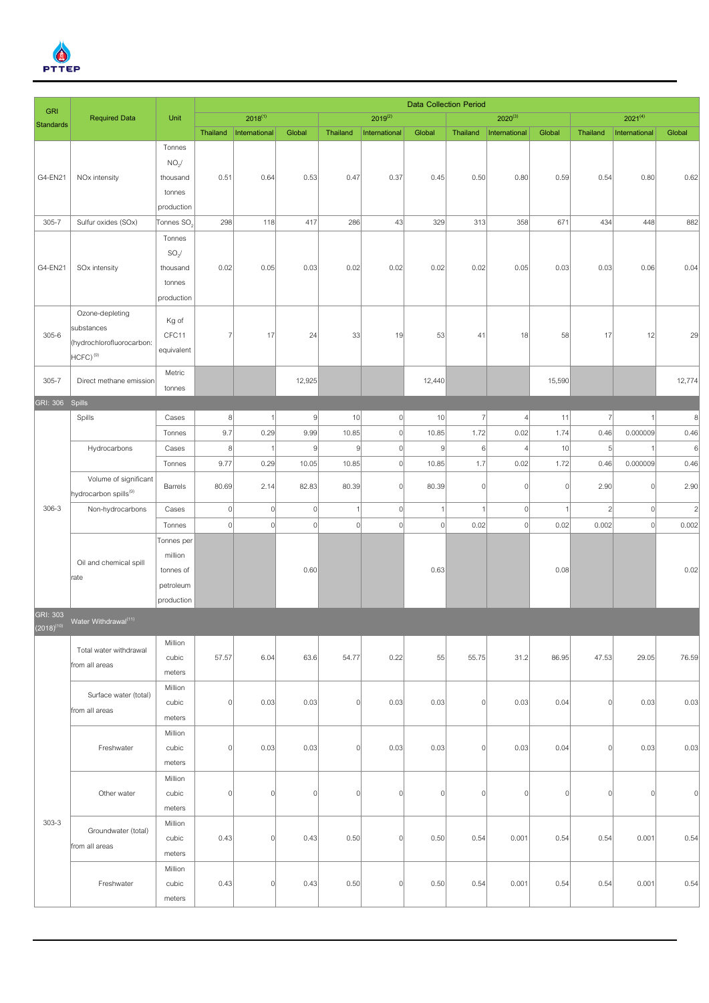

| <b>GRI</b>                         |                                   |                        | <b>Data Collection Period</b> |               |                |                |                |                |                |                |          |                |                |                   |
|------------------------------------|-----------------------------------|------------------------|-------------------------------|---------------|----------------|----------------|----------------|----------------|----------------|----------------|----------|----------------|----------------|-------------------|
| <b>Standards</b>                   | <b>Required Data</b>              | Unit                   |                               | $2018^{(1)}$  |                |                | $2019^{(2)}$   |                |                | $2020^{(3)}$   |          |                | $2021^{(4)}$   |                   |
|                                    |                                   |                        | Thailand                      | International | Global         | Thailand       | International  | Global         | Thailand       | International  | Global   | Thailand       | International  | Global            |
|                                    |                                   | Tonnes                 |                               |               |                |                |                |                |                |                |          |                |                |                   |
|                                    |                                   | NO <sub>2</sub> /      |                               |               |                |                |                |                |                |                |          |                |                |                   |
| G4-EN21                            | NO <sub>x</sub> intensity         | thousand               | 0.51                          | 0.64          | 0.53           | 0.47           | 0.37           | 0.45           | 0.50           | 0.80           | 0.59     | 0.54           | 0.80           | 0.62              |
|                                    |                                   | tonnes                 |                               |               |                |                |                |                |                |                |          |                |                |                   |
|                                    |                                   | production             |                               |               |                |                |                |                |                |                |          |                |                |                   |
| $305 - 7$                          | Sulfur oxides (SOx)               | Tonnes SO <sub>2</sub> | 298                           | 118           | 417            | 286            | 43             | 329            | 313            | 358            | 671      | 434            | 448            | 882               |
|                                    |                                   | Tonnes<br>$SO_2/$      |                               |               |                |                |                |                |                |                |          |                |                |                   |
| G4-EN21                            | SOx intensity                     | thousand               | 0.02                          | 0.05          | 0.03           | 0.02           | 0.02           | 0.02           | 0.02           | 0.05           | 0.03     | 0.03           | 0.06           | 0.04              |
|                                    |                                   | tonnes                 |                               |               |                |                |                |                |                |                |          |                |                |                   |
|                                    |                                   | production             |                               |               |                |                |                |                |                |                |          |                |                |                   |
|                                    | Ozone-depleting                   |                        |                               |               |                |                |                |                |                |                |          |                |                |                   |
|                                    | substances                        | Kg of                  |                               |               |                |                |                |                |                |                |          |                |                |                   |
| $305 - 6$                          | (hydrochlorofluorocarbon:         | CFC11                  | $\overline{7}$                | 17            | 24             | 33             | 19             | 53             | 41             | 18             | 58       | 17             | 12             | 29                |
|                                    | $HCFC)$ <sup>(9)</sup>            | equivalent             |                               |               |                |                |                |                |                |                |          |                |                |                   |
|                                    |                                   | Metric                 |                               |               |                |                |                |                |                |                |          |                |                |                   |
| $305 - 7$                          | Direct methane emission           | tonnes                 |                               |               | 12,925         |                |                | 12,440         |                |                | 15,590   |                |                | 12,774            |
| GRI: 306 Spills                    |                                   |                        |                               |               |                |                |                |                |                |                |          |                |                |                   |
|                                    | Spills                            | Cases                  | $\boldsymbol{8}$              |               | $\overline{9}$ | 10             | 0              | 10             | $\overline{7}$ | $\overline{4}$ | 11       | $\overline{7}$ |                | $\lvert 8 \rvert$ |
|                                    |                                   | Tonnes                 | 9.7                           | 0.29          | 9.99           | 10.85          | $\overline{0}$ | 10.85          | 1.72           | 0.02           | 1.74     | 0.46           | 0.000009       | 0.46              |
|                                    | Hydrocarbons                      | Cases                  | $\boldsymbol{8}$              |               | $\overline{9}$ | 9              | $\overline{0}$ | $\overline{9}$ | 6              | 4              | 10       | $\overline{5}$ | $\overline{1}$ | $6\phantom{1}6$   |
|                                    |                                   | Tonnes                 | 9.77                          | 0.29          | 10.05          | 10.85          | $\overline{0}$ | 10.85          | 1.7            | 0.02           | 1.72     | 0.46           | 0.000009       | 0.46              |
|                                    | Volume of significant             | Barrels                |                               | 2.14          |                |                | 0              |                | 0              | $\overline{0}$ | $\Omega$ | 2.90           | 0              |                   |
|                                    | hydrocarbon spills <sup>(9)</sup> |                        | 80.69                         |               | 82.83          | 80.39          |                | 80.39          |                |                |          |                |                | 2.90              |
| $306 - 3$                          | Non-hydrocarbons                  | Cases                  | $\vert$                       | $\mathbf 0$   | $\overline{0}$ | 1              | 0              | $\mathbf{1}$   | $\mathbf{1}$   | $\mathbf 0$    |          | $\overline{2}$ | $\vert$        | $\overline{c}$    |
|                                    |                                   | Tonnes                 | $\vert$                       | $\mathbf 0$   | $\overline{0}$ | $\overline{0}$ | $\overline{0}$ | $\overline{0}$ | 0.02           | $\mathbf C$    | 0.02     | 0.002          | $\mathbf{0}$   | 0.002             |
|                                    |                                   | Tonnes per             |                               |               |                |                |                |                |                |                |          |                |                |                   |
|                                    | Oil and chemical spill            | million                |                               |               |                |                |                |                |                |                |          |                |                |                   |
|                                    | rate                              | tonnes of              |                               |               | 0.60           |                |                | 0.63           |                |                | 0.08     |                |                | 0.02              |
|                                    |                                   | petroleum              |                               |               |                |                |                |                |                |                |          |                |                |                   |
|                                    |                                   | production             |                               |               |                |                |                |                |                |                |          |                |                |                   |
| <b>GRI: 303</b><br>$(2018)^{(10)}$ | Water Withdrawal <sup>(11)</sup>  |                        |                               |               |                |                |                |                |                |                |          |                |                |                   |
|                                    | Total water withdrawal            | Million                |                               |               |                |                |                |                |                |                |          |                |                |                   |
|                                    | from all areas                    | cubic                  | 57.57                         | 6.04          | 63.6           | 54.77          | 0.22           | 55             | 55.75          | 31.2           | 86.95    | 47.53          | 29.05          | 76.59             |
|                                    |                                   | meters                 |                               |               |                |                |                |                |                |                |          |                |                |                   |
|                                    | Surface water (total)             | Million                |                               |               |                |                |                |                |                |                |          |                |                |                   |
|                                    | from all areas                    | cubic                  | $\vert$                       | 0.03          | 0.03           | 0              | 0.03           | 0.03           | 0              | 0.03           | 0.04     | 0              | 0.03           | 0.03              |
|                                    |                                   | meters                 |                               |               |                |                |                |                |                |                |          |                |                |                   |
|                                    |                                   | Million                |                               |               |                |                |                |                |                |                |          |                |                |                   |
|                                    | Freshwater                        | cubic                  | $\vert$                       | 0.03          | 0.03           | 0              | 0.03           | 0.03           | 0              | 0.03           | 0.04     | 0              | 0.03           | 0.03              |
|                                    |                                   | meters                 |                               |               |                |                |                |                |                |                |          |                |                |                   |
|                                    |                                   | Million                | $\vert$                       |               | $\overline{0}$ | $\overline{0}$ | $\overline{0}$ | 0              | 0              | $\mathsf{C}$   | $\Omega$ | $\overline{0}$ | 0              | $\overline{0}$    |
|                                    | Other water                       | cubic<br>meters        |                               | $\mathbf 0$   |                |                |                |                |                |                |          |                |                |                   |
| $303 - 3$                          |                                   | Million                |                               |               |                |                |                |                |                |                |          |                |                |                   |
|                                    | Groundwater (total)               | cubic                  | 0.43                          | $\Omega$      | 0.43           | 0.50           | 0              | 0.50           | 0.54           | 0.001          | 0.54     | 0.54           | 0.001          | 0.54              |
|                                    | from all areas                    | meters                 |                               |               |                |                |                |                |                |                |          |                |                |                   |
|                                    |                                   | Million                |                               |               |                |                |                |                |                |                |          |                |                |                   |
|                                    | Freshwater                        | cubic                  | 0.43                          | $\Omega$      | 0.43           | 0.50           | 0              | 0.50           | 0.54           | 0.001          | 0.54     | 0.54           | 0.001          | 0.54              |
|                                    |                                   | meters                 |                               |               |                |                |                |                |                |                |          |                |                |                   |
|                                    |                                   |                        |                               |               |                |                |                |                |                |                |          |                |                |                   |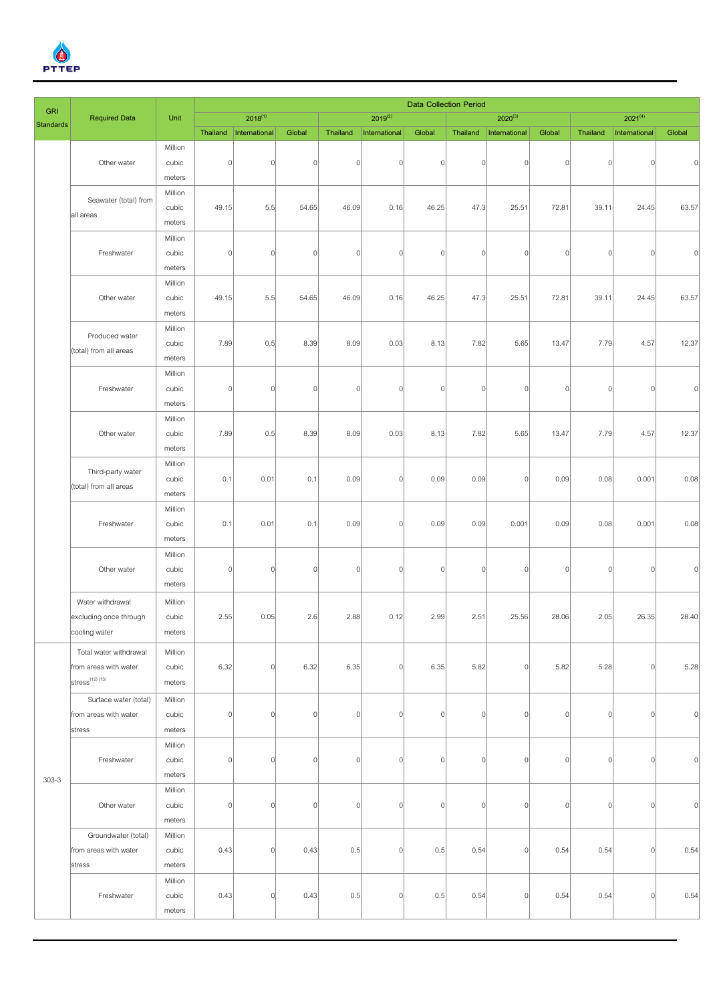

| <b>GRI</b>       |                               |                   | <b>Data Collection Period</b> |                |             |                |               |                |                |                |                |                |               |                |  |
|------------------|-------------------------------|-------------------|-------------------------------|----------------|-------------|----------------|---------------|----------------|----------------|----------------|----------------|----------------|---------------|----------------|--|
| <b>Standards</b> | <b>Required Data</b>          | Unit              |                               | $2018^{(1)}$   |             |                | $2019^{(2)}$  |                |                | $2020^{(3)}$   |                |                | $2021^{(4)}$  |                |  |
|                  |                               |                   | Thailand                      | International  | Global      | Thailand       | International | Global         | Thailand       | International  | Global         | Thailand       | International | Global         |  |
|                  |                               | Million           |                               |                |             |                |               |                |                |                |                |                |               |                |  |
|                  | Other water                   | cubic             | $\vert$                       | $\overline{0}$ | $\mathbf 0$ | $\mathbf 0$    | 0             | $\overline{0}$ | $\overline{0}$ | $\overline{0}$ | $\Omega$       | $\Omega$       | $\vert$       | $\Omega$       |  |
|                  |                               | meters            |                               |                |             |                |               |                |                |                |                |                |               |                |  |
|                  | Seawater (total) from         | Million           |                               |                |             |                |               |                |                |                |                |                |               |                |  |
|                  | all areas                     | cubic             | 49.15                         | 5.5            | 54.65       | 46.09          | 0.16          | 46.25          | 47.3           | 25.51          | 72.81          | 39.11          | 24.45         | 63.57          |  |
|                  |                               | meters            |                               |                |             |                |               |                |                |                |                |                |               |                |  |
|                  |                               | Million           |                               |                |             |                |               |                |                |                |                |                |               |                |  |
|                  | Freshwater                    | cubic             | $\vert$                       | $\overline{0}$ | $\mathbf 0$ | $\mathbf 0$    | 0             | $\overline{0}$ | $\overline{0}$ | $\overline{0}$ | $\overline{0}$ | $\Omega$       | 0             | $\overline{0}$ |  |
|                  |                               | meters            |                               |                |             |                |               |                |                |                |                |                |               |                |  |
|                  | Other water                   | Million           |                               |                |             |                |               |                |                |                |                |                |               |                |  |
|                  |                               | cubic             | 49.15                         | 5.5            | 54.65       | 46.09          | 0.16          | 46.25          | 47.3           | 25.51          | 72.81          | 39.11          | 24.45         | 63.57          |  |
|                  |                               | meters<br>Million |                               |                |             |                |               |                |                |                |                |                |               |                |  |
|                  | Produced water                | cubic             | 7.89                          | 0.5            | 8.39        | 8.09           | 0.03          | 8.13           | 7.82           | 5.65           | 13.47          | 7.79           | 4.57          | 12.37          |  |
|                  | (total) from all areas        | meters            |                               |                |             |                |               |                |                |                |                |                |               |                |  |
|                  |                               | Million           |                               |                |             |                |               |                |                |                |                |                |               |                |  |
|                  | Freshwater                    | cubic             | $\vert$                       | $\overline{0}$ | $\mathbf 0$ | $\overline{0}$ | 0             | $\overline{0}$ | $\overline{0}$ | $\overline{0}$ | $\Omega$       | $\Omega$       | $\vert$       | $\overline{0}$ |  |
|                  |                               | meters            |                               |                |             |                |               |                |                |                |                |                |               |                |  |
|                  |                               | Million           |                               |                |             |                |               |                |                |                |                |                |               |                |  |
|                  | Other water                   | cubic             | 7.89                          | 0.5            | 8.39        | 8.09           | 0.03          | 8.13           | 7.82           | 5.65           | 13.47          | 7.79           | 4.57          | 12.37          |  |
|                  |                               | meters            |                               |                |             |                |               |                |                |                |                |                |               |                |  |
|                  |                               | Million           |                               |                |             |                |               |                |                |                |                |                |               |                |  |
|                  | Third-party water             | cubic             | 0.1                           | 0.01           | 0.1         | 0.09           | 0             | 0.09           | 0.09           | $\vert$        | 0.09           | 0.08           | 0.001         | 0.08           |  |
|                  | (total) from all areas        |                   |                               |                |             |                |               |                |                |                |                |                |               |                |  |
|                  |                               | meters            |                               |                |             |                |               |                |                |                |                |                |               |                |  |
|                  |                               | Million<br>cubic  | 0.1                           | 0.01           | 0.1         | 0.09           | $\Omega$      | 0.09           | 0.09           | 0.001          | 0.09           | 0.08           | 0.001         | 0.08           |  |
|                  | Freshwater                    | meters            |                               |                |             |                |               |                |                |                |                |                |               |                |  |
|                  |                               | Million           |                               |                |             |                |               |                |                |                |                |                |               |                |  |
|                  | Other water                   | cubic             | $\vert$                       | $\Omega$       | $\mathbf 0$ | $\mathbf 0$    | 0             | $\overline{0}$ | $\overline{0}$ | $\overline{0}$ | $\mathbf{0}$   | $\Omega$       | 0             | $\Omega$       |  |
|                  |                               | meters            |                               |                |             |                |               |                |                |                |                |                |               |                |  |
|                  |                               |                   |                               |                |             |                |               |                |                |                |                |                |               |                |  |
|                  | Water withdrawal              | Million           |                               |                |             |                |               |                |                |                |                |                |               |                |  |
|                  | excluding once through        | cubic             | 2.55                          | 0.05           | 2.6         | 2.88           | 0.12          | 2.99           | 2.51           | 25.56          | 28.06          | 2.05           | 26.35         | 28.40          |  |
|                  | cooling water                 | meters            |                               |                |             |                |               |                |                |                |                |                |               |                |  |
|                  | Total water withdrawal        | Million           |                               |                |             |                |               |                |                |                |                |                |               |                |  |
|                  | from areas with water         | cubic             | 6.32                          | $\overline{0}$ | 6.32        | 6.35           | 0             | 6.35           | 5.82           | 0              | 5.82           | 5.28           | 0             | 5.28           |  |
|                  | $stress$ <sup>(12) (13)</sup> | meters            |                               |                |             |                |               |                |                |                |                |                |               |                |  |
|                  | Surface water (total)         | Million           |                               |                |             |                |               |                |                |                |                |                |               |                |  |
|                  | from areas with water         | cubic             | 0                             | $\overline{0}$ | $\Omega$    | $\mathbb O$    | 0             | $\overline{0}$ | $\overline{0}$ | $\overline{0}$ | $\overline{0}$ | $\overline{0}$ | 0             | N              |  |
|                  | stress                        | meters            |                               |                |             |                |               |                |                |                |                |                |               |                |  |
|                  |                               | Million           |                               |                |             |                |               |                |                |                |                |                |               |                |  |
|                  | Freshwater                    | cubic             | $\vert$                       | $\overline{0}$ | $\Omega$    | $\mathbf 0$    | 0             | $\overline{0}$ | $\mathbf 0$    | $\overline{0}$ | $\overline{0}$ | $\Omega$       | 0             | $\Omega$       |  |
| $303 - 3$        |                               | meters            |                               |                |             |                |               |                |                |                |                |                |               |                |  |
|                  |                               | Million           |                               |                |             |                |               |                |                |                |                |                |               |                |  |
|                  | Other water                   | cubic             | $\vert$                       | $\overline{0}$ | $\mathbf 0$ | $\overline{0}$ | 0             | $\overline{0}$ | $\mathbf 0$    | $\overline{0}$ | $\mathbf{0}$   | $\Omega$       | 0             | $\Omega$       |  |
|                  |                               | meters            |                               |                |             |                |               |                |                |                |                |                |               |                |  |
|                  | Groundwater (total)           | Million           |                               |                |             |                |               |                |                |                |                |                |               |                |  |
|                  | from areas with water         | cubic             | 0.43                          | $\overline{0}$ | 0.43        | 0.5            | 0             | 0.5            | 0.54           | $\overline{0}$ | 0.54           | 0.54           | 0             | 0.54           |  |
|                  | stress                        | meters            |                               |                |             |                |               |                |                |                |                |                |               |                |  |
|                  |                               | Million           |                               |                |             |                |               |                |                |                |                |                |               |                |  |
|                  | Freshwater                    | cubic             | 0.43                          | $\overline{0}$ | 0.43        | 0.5            | 0             | 0.5            | 0.54           | $\overline{0}$ | 0.54           | 0.54           | 0             | 0.54           |  |
|                  |                               | meters            |                               |                |             |                |               |                |                |                |                |                |               |                |  |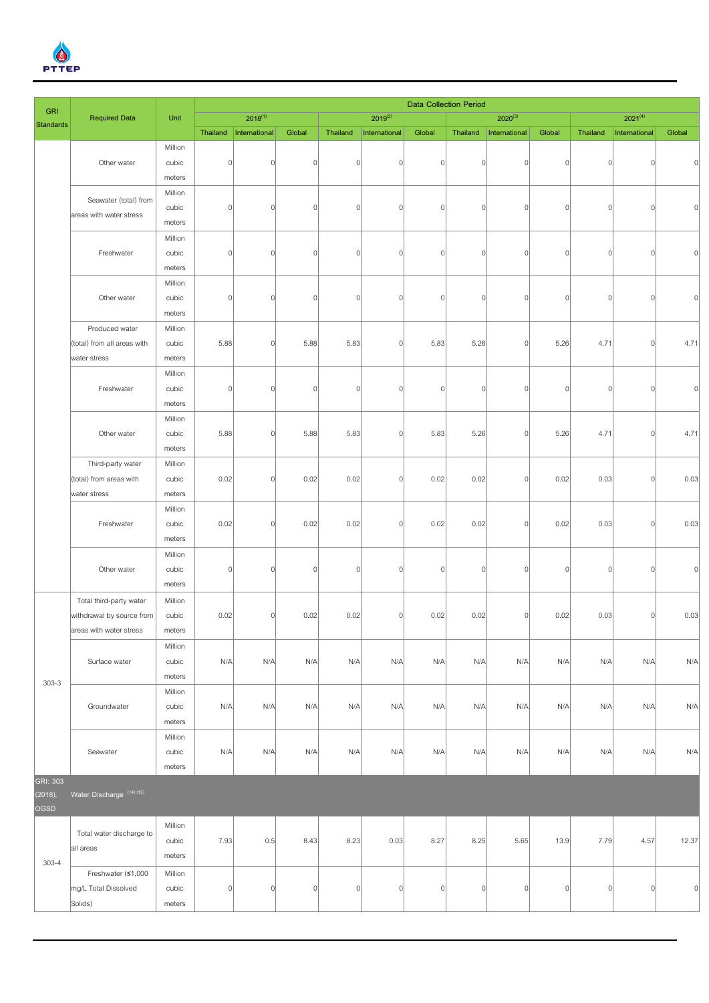

|                                |                             |         |             |                |              |                |                |                | <b>Data Collection Period</b> |                          |                |              |                |                |
|--------------------------------|-----------------------------|---------|-------------|----------------|--------------|----------------|----------------|----------------|-------------------------------|--------------------------|----------------|--------------|----------------|----------------|
| <b>GRI</b><br><b>Standards</b> | <b>Required Data</b>        | Unit    |             | $2018^{(1)}$   |              |                | $2019^{(2)}$   |                |                               | $2020^{(3)}$             |                |              | $2021^{(4)}$   |                |
|                                |                             |         | Thailand    | International  | Global       | Thailand       | International  | Global         |                               | Thailand   International | Global         | Thailand     | International  | Global         |
|                                |                             | Million |             |                |              |                |                |                |                               |                          |                |              |                |                |
|                                | Other water                 | cubic   | $\vert$     | $\Omega$       | $\Omega$     | $\overline{0}$ | $\Omega$       | $\Omega$       | 0                             | $\mathbf 0$              | $\Omega$       | $\mathsf{C}$ | $\overline{0}$ |                |
|                                |                             | meters  |             |                |              |                |                |                |                               |                          |                |              |                |                |
|                                | Seawater (total) from       | Million |             |                |              |                |                |                |                               |                          |                |              |                |                |
|                                | areas with water stress     | cubic   | $\vert$     | $\Omega$       | $\Omega$     | $\overline{0}$ | $\Omega$       | $\overline{0}$ | $\overline{0}$                | $\Omega$                 | $\overline{0}$ | $\mathsf{C}$ | 0              |                |
|                                |                             | meters  |             |                |              |                |                |                |                               |                          |                |              |                |                |
|                                |                             | Million |             |                |              |                |                |                |                               |                          |                |              |                |                |
|                                | Freshwater                  | cubic   | $\mathbf 0$ | $\Omega$       | $\Omega$     | $\overline{0}$ | $\Omega$       | $\Omega$       | $\overline{0}$                | $\Omega$                 | 0              | $\sqrt{ }$   | 0              |                |
|                                |                             | meters  |             |                |              |                |                |                |                               |                          |                |              |                |                |
|                                |                             | Million |             |                |              |                |                |                |                               |                          |                |              |                |                |
|                                | Other water                 | cubic   | $\mathbf 0$ | 0              | $\mathbf{0}$ | $\overline{0}$ | $\Omega$       | $\Omega$       | $\overline{0}$                | $\Omega$                 | $\Omega$       | $\mathsf{C}$ | 0              |                |
|                                |                             | meters  |             |                |              |                |                |                |                               |                          |                |              |                |                |
|                                | Produced water              | Million |             |                |              |                |                |                |                               |                          |                |              |                |                |
|                                | (total) from all areas with | cubic   | 5.88        | $\Omega$       | 5.88         | 5.83           | $\Omega$       | 5.83           | 5.26                          | 0                        | 5.26           | 4.71         | 0              | 4.71           |
|                                | water stress                | meters  |             |                |              |                |                |                |                               |                          |                |              |                |                |
|                                |                             | Million |             |                |              |                |                |                |                               |                          |                |              |                |                |
|                                | Freshwater                  | cubic   | $\vert$     | $\Omega$       | $\Omega$     | $\overline{0}$ | $\Omega$       | $\Omega$       | $\overline{0}$                | $\Omega$                 | $\overline{0}$ | $\mathsf{C}$ | 0              |                |
|                                |                             | meters  |             |                |              |                |                |                |                               |                          |                |              |                |                |
|                                |                             | Million |             |                |              |                |                |                |                               |                          |                |              |                |                |
|                                | Other water                 | cubic   | 5.88        | $\Omega$       | 5.88         | 5.83           | $\Omega$       | 5.83           | 5.26                          | $\Omega$                 | 5.26           | 4.71         | $\vert$        | 4.71           |
|                                |                             | meters  |             |                |              |                |                |                |                               |                          |                |              |                |                |
|                                | Third-party water           | Million |             |                |              |                |                |                |                               |                          |                |              |                |                |
|                                | (total) from areas with     | cubic   | 0.02        | $\mathbf 0$    | 0.02         | 0.02           | $\Omega$       | 0.02           | 0.02                          | $\mathbf 0$              | 0.02           | 0.03         | 0              | 0.03           |
|                                | water stress                | meters  |             |                |              |                |                |                |                               |                          |                |              |                |                |
|                                |                             | Million |             |                |              |                |                |                |                               |                          |                |              |                |                |
|                                | Freshwater                  | cubic   | 0.02        | $\Omega$       | 0.02         | 0.02           | $\Omega$       | 0.02           | 0.02                          | $\Omega$                 | 0.02           | 0.03         | 0              | 0.03           |
|                                |                             | meters  |             |                |              |                |                |                |                               |                          |                |              |                |                |
|                                |                             | Million |             |                |              |                |                |                |                               |                          |                |              |                |                |
|                                | Other water                 | cubic   | $\mathbf 0$ | 0              | $\Omega$     | $\overline{0}$ | $\overline{0}$ | $\Omega$       | $\overline{0}$                | $\Omega$                 | $\overline{0}$ | $\mathsf{C}$ | 0              |                |
|                                |                             | meters  |             |                |              |                |                |                |                               |                          |                |              |                |                |
|                                | Total third-party water     | Million |             |                |              |                |                |                |                               |                          |                |              |                |                |
|                                | withdrawal by source from   | cubic   | 0.02        | $\Omega$       | 0.02         | 0.02           | $\Omega$       | 0.02           | 0.02                          | 0                        | 0.02           | 0.03         | 0              | 0.03           |
|                                | areas with water stress     | meters  |             |                |              |                |                |                |                               |                          |                |              |                |                |
|                                |                             | Million |             |                |              |                |                |                |                               |                          |                |              |                |                |
|                                | Surface water               | cubic   | N/A         | N/A            | N/A          | N/A            | N/A            | N/A            | N/A                           | N/A                      | N/A            | N/A          | N/A            | N/A            |
| $303 - 3$                      |                             | meters  |             |                |              |                |                |                |                               |                          |                |              |                |                |
|                                |                             | Million |             |                |              |                |                |                |                               |                          |                |              |                |                |
|                                | Groundwater                 | cubic   | N/A         | N/A            | N/A          | N/A            | N/A            | N/A            | N/A                           | N/A                      | N/A            | N/A          | N/A            | N/A            |
|                                |                             | meters  |             |                |              |                |                |                |                               |                          |                |              |                |                |
|                                |                             | Million |             |                |              |                |                |                |                               |                          |                |              |                |                |
|                                | Seawater                    | cubic   | N/A         | N/A            | N/A          | N/A            | N/A            | N/A            | N/A                           | N/A                      | N/A            | N/A          | N/A            | N/A            |
| <b>GRI: 303</b>                |                             | meters  |             |                |              |                |                |                |                               |                          |                |              |                |                |
| (2018),<br>OGSD                | Water Discharge (14) (15)   |         |             |                |              |                |                |                |                               |                          |                |              |                |                |
|                                |                             | Million |             |                |              |                |                |                |                               |                          |                |              |                |                |
|                                | Total water discharge to    | cubic   | 7.93        | 0.5            | 8.43         | 8.23           | 0.03           | 8.27           | 8.25                          | 5.65                     | 13.9           | 7.79         | 4.57           | 12.37          |
|                                | all areas                   | meters  |             |                |              |                |                |                |                               |                          |                |              |                |                |
| $303 - 4$                      | Freshwater (≤1,000          | Million |             |                |              |                |                |                |                               |                          |                |              |                |                |
|                                | mg/L Total Dissolved        | cubic   | $\mathbf 0$ | $\overline{0}$ | $\circ$      | 0              | 0              | $\overline{0}$ | 0                             | 0                        | 0              | $\circ$      | 0              | $\overline{0}$ |
|                                | Solids)                     | meters  |             |                |              |                |                |                |                               |                          |                |              |                |                |
|                                |                             |         |             |                |              |                |                |                |                               |                          |                |              |                |                |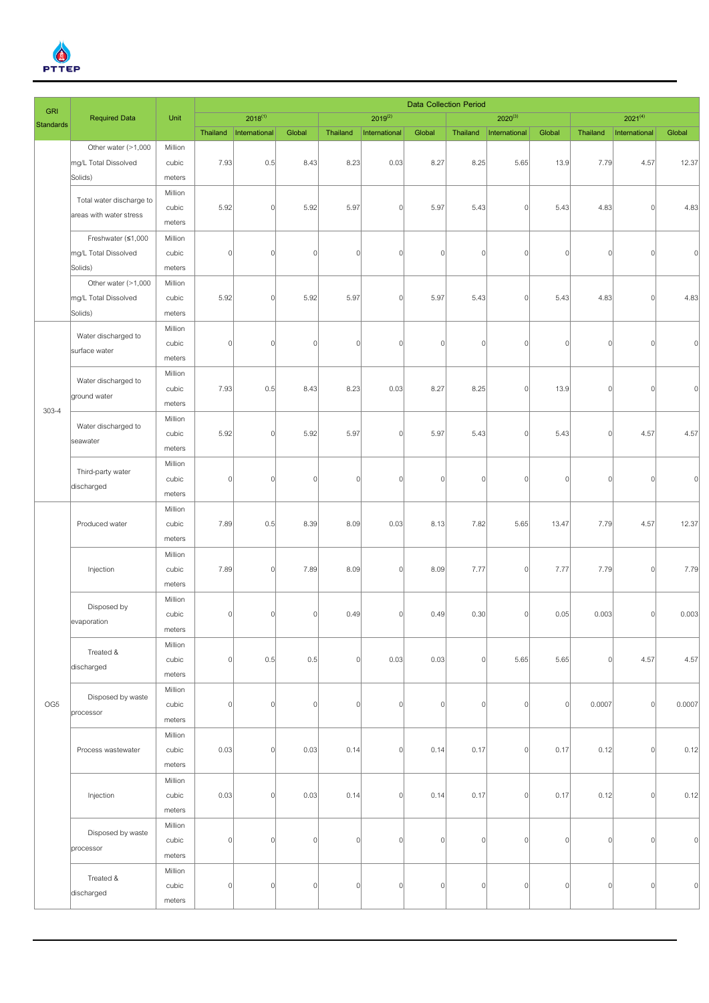

| <b>GRI</b>       |                                 |                   | <b>Data Collection Period</b> |                |          |                |                |                |                |               |                |              |                |          |  |
|------------------|---------------------------------|-------------------|-------------------------------|----------------|----------|----------------|----------------|----------------|----------------|---------------|----------------|--------------|----------------|----------|--|
| <b>Standards</b> | <b>Required Data</b>            | Unit              |                               | $2018^{(1)}$   |          |                | $2019^{(2)}$   |                |                | $2020^{(3)}$  |                |              | $2021^{(4)}$   |          |  |
|                  |                                 |                   | Thailand                      | International  | Global   | Thailand       | International  | Global         | Thailand       | International | Global         | Thailand     | International  | Global   |  |
|                  | Other water (>1,000             | Million           |                               |                |          |                |                |                |                |               |                |              |                |          |  |
|                  | mg/L Total Dissolved<br>Solids) | cubic<br>meters   | 7.93                          | 0.5            | 8.43     | 8.23           | 0.03           | 8.27           | 8.25           | 5.65          | 13.9           | 7.79         | 4.57           | 12.37    |  |
|                  |                                 | Million           |                               |                |          |                |                |                |                |               |                |              |                |          |  |
|                  | Total water discharge to        | cubic             | 5.92                          | $\overline{0}$ | 5.92     | 5.97           | $\mathbf{0}$   | 5.97           | 5.43           | 0             | 5.43           | 4.83         | 0              | 4.83     |  |
|                  | areas with water stress         | meters            |                               |                |          |                |                |                |                |               |                |              |                |          |  |
|                  | Freshwater (≤1,000              | Million           |                               |                |          |                |                |                |                |               |                |              |                |          |  |
|                  | mg/L Total Dissolved            | cubic             | $\mathbf 0$                   | 0              | $\Omega$ | $\overline{0}$ | $\Omega$       | $\overline{0}$ | $\overline{0}$ | $\Omega$      | $\overline{0}$ | C            | $\overline{0}$ |          |  |
|                  | Solids)                         | meters            |                               |                |          |                |                |                |                |               |                |              |                |          |  |
|                  | Other water (>1,000             | Million           |                               |                |          |                |                |                |                |               |                |              |                |          |  |
|                  | mg/L Total Dissolved            | cubic             | 5.92                          | $\Omega$       | 5.92     | 5.97           | $\Omega$       | 5.97           | 5.43           | $\Omega$      | 5.43           | 4.83         | 0              | 4.83     |  |
|                  | Solids)                         | meters            |                               |                |          |                |                |                |                |               |                |              |                |          |  |
|                  | Water discharged to             | Million           |                               |                |          |                |                |                |                |               |                |              |                |          |  |
|                  | surface water                   | cubic             | $\vert$                       | $\Omega$       | $\Omega$ | $\overline{0}$ | $\Omega$       | $\overline{0}$ | $\overline{0}$ | $\Omega$      | $\Omega$       | C            | 0              |          |  |
|                  |                                 | meters            |                               |                |          |                |                |                |                |               |                |              |                |          |  |
|                  | Water discharged to             | Million           |                               |                |          |                |                |                |                |               |                |              |                |          |  |
|                  | ground water                    | cubic             | 7.93                          | 0.5            | 8.43     | 8.23           | 0.03           | 8.27           | 8.25           | $\Omega$      | 13.9           | $\mathsf{C}$ | $\vert$        |          |  |
| $303 - 4$        |                                 | meters            |                               |                |          |                |                |                |                |               |                |              |                |          |  |
|                  | Water discharged to             | Million           |                               |                |          |                |                |                |                |               |                |              |                |          |  |
|                  | seawater                        | cubic             | 5.92                          | $\Omega$       | 5.92     | 5.97           | $\mathbf{0}$   | 5.97           | 5.43           | n             | 5.43           | $\mathsf{C}$ | 4.57           | 4.57     |  |
|                  |                                 | meters            |                               |                |          |                |                |                |                |               |                |              |                |          |  |
|                  | Third-party water               | Million           |                               |                |          |                |                |                |                |               |                |              |                |          |  |
|                  | discharged                      | cubic             | $\vert$                       | $\Omega$       | $\Omega$ | 0              | $\overline{0}$ | 0              | $\overline{0}$ | $\Omega$      | $\circ$        | $\mathsf{C}$ | 0              |          |  |
|                  |                                 | meters            |                               |                |          |                |                |                |                |               |                |              |                |          |  |
|                  |                                 | Million<br>cubic  | 7.89                          | 0.5            | 8.39     | 8.09           | 0.03           | 8.13           | 7.82           | 5.65          | 13.47          | 7.79         | 4.57           | 12.37    |  |
|                  | Produced water                  | meters            |                               |                |          |                |                |                |                |               |                |              |                |          |  |
|                  |                                 | Million           |                               |                |          |                |                |                |                |               |                |              |                |          |  |
|                  | Injection                       | cubic             | 7.89                          | $\Omega$       | 7.89     | 8.09           | $\Omega$       | 8.09           | 7.77           | $\Omega$      | 7.77           | 7.79         | 0              | 7.79     |  |
|                  |                                 | meters            |                               |                |          |                |                |                |                |               |                |              |                |          |  |
|                  |                                 | Million           |                               |                |          |                |                |                |                |               |                |              |                |          |  |
|                  | Disposed by                     | cubic             | $\vert$                       | 0              | n        | 0.49           | $\Omega$       | 0.49           | 0.30           | $\Omega$      | 0.05           | 0.003        | 0              | 0.003    |  |
|                  | evaporation                     | meters            |                               |                |          |                |                |                |                |               |                |              |                |          |  |
|                  | Treated &                       | Million           |                               |                |          |                |                |                |                |               |                |              |                |          |  |
|                  | discharged                      | cubic             | $\mathbf 0$                   | 0.5            | 0.5      | $\overline{0}$ | 0.03           | 0.03           | $\overline{0}$ | 5.65          | 5.65           | C            | 4.57           | 4.57     |  |
|                  |                                 | meters            |                               |                |          |                |                |                |                |               |                |              |                |          |  |
|                  | Disposed by waste               | Million           |                               |                |          |                |                |                |                |               |                |              |                |          |  |
| OG5              | processor                       | cubic             | $\theta$                      | 0              | $\Omega$ | $\overline{0}$ | $\Omega$       | $\overline{0}$ | $\overline{0}$ | $\Omega$      | <sup>0</sup>   | 0.0007       | 0              | 0.0007   |  |
|                  |                                 | meters            |                               |                |          |                |                |                |                |               |                |              |                |          |  |
|                  |                                 | Million           |                               |                |          |                |                |                |                |               |                |              |                |          |  |
|                  | Process wastewater              | cubic             | 0.03                          | $\overline{0}$ | 0.03     | 0.14           | 0              | 0.14           | 0.17           | $\circ$       | 0.17           | 0.12         | 0              | 0.12     |  |
|                  |                                 | meters            |                               |                |          |                |                |                |                |               |                |              |                |          |  |
|                  |                                 | Million           |                               |                |          |                |                |                |                |               |                |              |                |          |  |
|                  | Injection                       | cubic             | 0.03                          | $\overline{0}$ | 0.03     | 0.14           | $\Omega$       | 0.14           | 0.17           | $\Omega$      | 0.17           | 0.12         | $\vert$        | 0.12     |  |
|                  |                                 | meters<br>Million |                               |                |          |                |                |                |                |               |                |              |                |          |  |
|                  | Disposed by waste               | cubic             | $\mathbf 0$                   | 0              | $\Omega$ | $\overline{0}$ | $\Omega$       | $\overline{0}$ | $\overline{0}$ | 0l            | $\overline{0}$ | $\mathsf{C}$ | 0              | $\Omega$ |  |
|                  | processor                       | meters            |                               |                |          |                |                |                |                |               |                |              |                |          |  |
|                  |                                 | Million           |                               |                |          |                |                |                |                |               |                |              |                |          |  |
|                  | Treated &                       | cubic             | $\vert$                       | $\Omega$       | $\Omega$ | 0              | $\Omega$       | 0              | $\overline{0}$ | $\Omega$      | 0              | $\theta$     | 0              | $\Omega$ |  |
|                  | discharged                      | meters            |                               |                |          |                |                |                |                |               |                |              |                |          |  |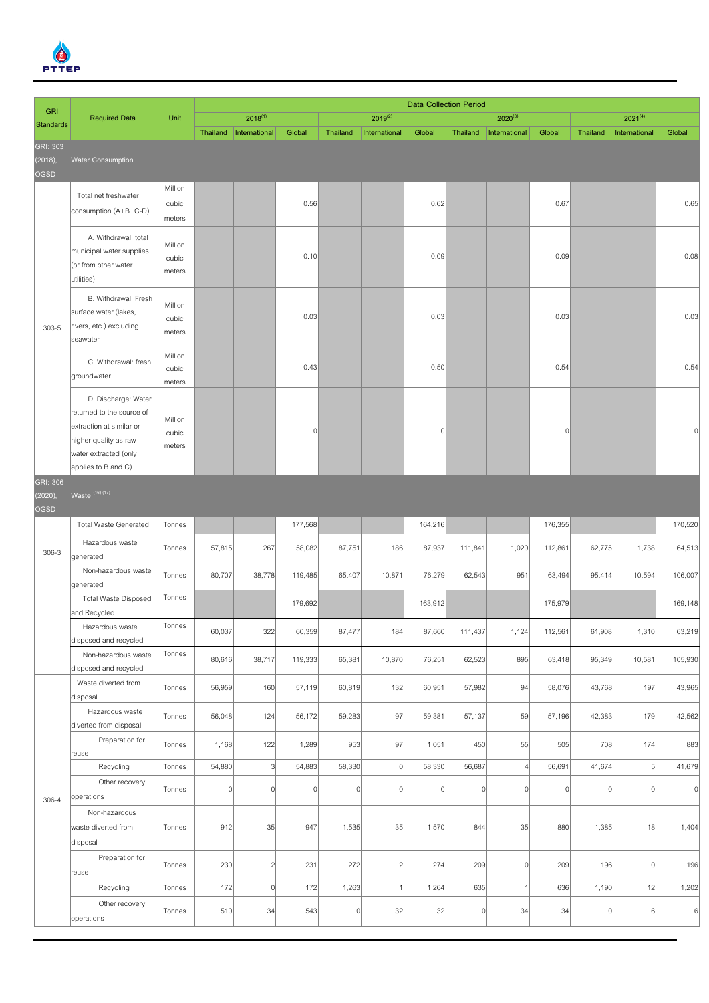

| <b>Data Collection Period</b><br><b>GRI</b> |                                                                                                                                                       |                            |                |                |                |          |                         |          |                |                |                |                |               |                |
|---------------------------------------------|-------------------------------------------------------------------------------------------------------------------------------------------------------|----------------------------|----------------|----------------|----------------|----------|-------------------------|----------|----------------|----------------|----------------|----------------|---------------|----------------|
| <b>Standards</b>                            | <b>Required Data</b>                                                                                                                                  | Unit                       |                | $2018^{(1)}$   |                |          | $2019^{(2)}$            |          |                | $2020^{(3)}$   |                |                | $2021^{(4)}$  |                |
|                                             |                                                                                                                                                       |                            | Thailand       | International  | Global         | Thailand | International           | Global   | Thailand       | International  | Global         | Thailand       | International | Global         |
| GRI: 303<br>(2018),<br>OGSD                 | <b>Water Consumption</b>                                                                                                                              |                            |                |                |                |          |                         |          |                |                |                |                |               |                |
|                                             | Total net freshwater<br>consumption (A+B+C-D)                                                                                                         | Million<br>cubic<br>meters |                |                | 0.56           |          |                         | 0.62     |                |                | 0.67           |                |               | 0.65           |
|                                             | A. Withdrawal: total<br>municipal water supplies<br>(or from other water<br>utilities)                                                                | Million<br>cubic<br>meters |                |                | 0.10           |          |                         | 0.09     |                |                | 0.09           |                |               | 0.08           |
| $303 - 5$                                   | B. Withdrawal: Fresh<br>surface water (lakes,<br>rivers, etc.) excluding<br>seawater                                                                  | Million<br>cubic<br>meters |                |                | 0.03           |          |                         | 0.03     |                |                | 0.03           |                |               | 0.03           |
|                                             | C. Withdrawal: fresh<br>groundwater                                                                                                                   | Million<br>cubic<br>meters |                |                | 0.43           |          |                         | 0.50     |                |                | 0.54           |                |               | 0.54           |
|                                             | D. Discharge: Water<br>returned to the source of<br>extraction at similar or<br>higher quality as raw<br>water extracted (only<br>applies to B and C) | Million<br>cubic<br>meters |                |                | $\Omega$       |          |                         | $\Omega$ |                |                | $\overline{0}$ |                |               |                |
| GRI: 306                                    |                                                                                                                                                       |                            |                |                |                |          |                         |          |                |                |                |                |               |                |
| (2020),<br><b>OGSD</b>                      | Waste (16) (17)                                                                                                                                       |                            |                |                |                |          |                         |          |                |                |                |                |               |                |
|                                             | <b>Total Waste Generated</b>                                                                                                                          | Tonnes                     |                |                | 177,568        |          |                         | 164,216  |                |                | 176,355        |                |               | 170,520        |
| $306 - 3$                                   | Hazardous waste<br>generated                                                                                                                          | Tonnes                     | 57,815         | 267            | 58,082         | 87,751   | 186                     | 87,937   | 111,841        | 1,020          | 112,861        | 62,775         | 1,738         | 64,513         |
|                                             | Non-hazardous waste<br>generated                                                                                                                      | Tonnes                     | 80,707         | 38,778         | 119,485        | 65,407   | 10,871                  | 76,279   | 62,543         | 951            | 63,494         | 95,414         | 10,594        | 106,007        |
|                                             | <b>Total Waste Disposed</b><br>and Recycled                                                                                                           | Tonnes                     |                |                | 179,692        |          |                         | 163,912  |                |                | 175,979        |                |               | 169,148        |
|                                             | Hazardous waste<br>disposed and recycled                                                                                                              | Tonnes                     | 60,037         | 322            | 60,359         | 87,477   | 184                     | 87,660   | 111,437        | 1,124          | 112,561        | 61,908         | 1,310         | 63,219         |
|                                             | Non-hazardous waste<br>disposed and recycled                                                                                                          | Tonnes                     | 80,616         | 38,717         | 119,333        | 65,381   | 10,870                  | 76,251   | 62,523         | 895            | 63,418         | 95,349         | 10,581        | 105,930        |
|                                             | Waste diverted from<br>disposal                                                                                                                       | Tonnes                     | 56,959         | 160            | 57,119         | 60,819   | 132                     | 60,951   | 57,982         | 94             | 58,076         | 43,768         | 197           | 43,965         |
|                                             | Hazardous waste<br>diverted from disposal                                                                                                             | Tonnes                     | 56,048         | 124            | 56,172         | 59,283   | 97                      | 59,381   | 57,137         | 59             | 57,196         | 42,383         | 179           | 42,562         |
|                                             | Preparation for<br>reuse                                                                                                                              | Tonnes                     | 1,168          | 122            | 1,289          | 953      | 97                      | 1,051    | 450            | 55             | 505            | 708            | 174           | 883            |
|                                             | Recycling                                                                                                                                             | Tonnes                     | 54,880         | $\frac{3}{2}$  | 54,883         | 58,330   | $\circ$                 | 58,330   | 56,687         | $\overline{A}$ | 56,691         | 41,674         | 5             | 41,679         |
| $306 - 4$                                   | Other recovery<br>operations                                                                                                                          | Tonnes                     | $\overline{0}$ | $\Omega$       | $\overline{0}$ | 0        | $\mathbf 0$             | $\Omega$ | $\overline{0}$ | $\theta$       | $\Omega$       | $\overline{0}$ | 0             | $\overline{0}$ |
|                                             | Non-hazardous<br>waste diverted from<br>disposal                                                                                                      | Tonnes                     | 912            | 35             | 947            | 1,535    | 35                      | 1,570    | 844            | 35             | 880            | 1,385          | 18            | 1,404          |
|                                             | Preparation for<br>reuse                                                                                                                              | Tonnes                     | 230            | $\overline{2}$ | 231            | 272      | $\overline{\mathbf{c}}$ | 274      | 209            | $\theta$       | 209            | 196            | 0             | 196            |
|                                             | Recycling                                                                                                                                             | Tonnes                     | 172            | 0              | 172            | 1,263    | 1                       | 1,264    | 635            |                | 636            | 1,190          | 12            | 1,202          |
|                                             | Other recovery<br>operations                                                                                                                          | Tonnes                     | 510            | 34             | 543            | $\Omega$ | 32                      | 32       | $\Omega$       | 34             | 34             | $\overline{0}$ | 6             | $6 \mid$       |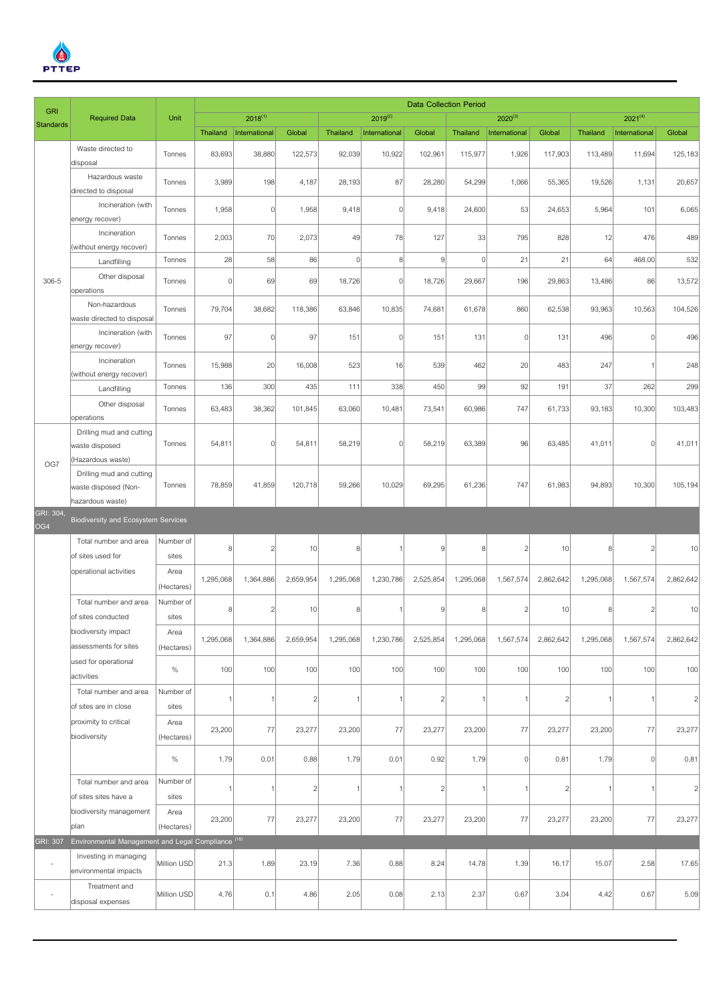

| <b>GRI</b>               |                                                                       |                    | <b>Data Collection Period</b> |                |                |                |                |                |                |                |                 |           |                |                |
|--------------------------|-----------------------------------------------------------------------|--------------------|-------------------------------|----------------|----------------|----------------|----------------|----------------|----------------|----------------|-----------------|-----------|----------------|----------------|
| <b>Standards</b>         | <b>Required Data</b>                                                  | Unit               |                               | $2018^{(1)}$   |                |                | $2019^{(2)}$   |                |                | $2020^{(3)}$   |                 |           | $2021^{(4)}$   |                |
|                          |                                                                       |                    | Thailand                      | International  | Global         | Thailand       | International  | Global         | Thailand       | International  | Global          | Thailand  | International  | Global         |
|                          | Waste directed to<br>disposal                                         | Tonnes             | 83,693                        | 38,880         | 122,573        | 92,039         | 10,922         | 102,961        | 115,977        | 1,926          | 117,903         | 113,489   | 11,694         | 125,183        |
|                          | Hazardous waste<br>directed to disposal                               | Tonnes             | 3,989                         | 198            | 4,187          | 28,193         | 87             | 28,280         | 54,299         | 1,066          | 55,365          | 19,526    | 1,131          | 20,657         |
|                          | Incineration (with<br>energy recover)                                 | Tonnes             | 1,958                         | $\overline{0}$ | 1,958          | 9,418          | $\Omega$       | 9,418          | 24,600         | 53             | 24,653          | 5,964     | 101            | 6,065          |
|                          | Incineration<br>(without energy recover)                              | Tonnes             | 2,003                         | 70             | 2,073          | 49             | 78             | 127            | 33             | 795            | 828             | 12        | 476            | 489            |
|                          | Landfilling                                                           | Tonnes             | 28                            | 58             | 86             | 0              | 8 <sup>1</sup> | $\overline{9}$ | $\overline{0}$ | 21             | 21              | 64        | 468.00         | 532            |
| 306-5                    | Other disposal                                                        | Tonnes             | $\vert$                       | 69             | 69             | 18,726         | $\Omega$       | 18,726         | 29,667         | 196            | 29,863          | 13,486    | 86             | 13,572         |
|                          | operations<br>Non-hazardous<br>waste directed to disposal             | Tonnes             | 79,704                        | 38,682         | 118,386        | 63,846         | 10,835         | 74,681         | 61,678         | 860            | 62,538          | 93,963    | 10,563         | 104,526        |
|                          | Incineration (with<br>energy recover)                                 | Tonnes             | 97                            | $\Omega$       | 97             | 151            | $\Omega$       | 151            | 131            | 0              | 131             | 496       | $\mathbf{0}$   | 496            |
|                          | Incineration<br>(without energy recover)                              | Tonnes             | 15,988                        | 20             | 16,008         | 523            | 16             | 539            | 462            | 20             | 483             | 247       | -1             | 248            |
|                          | Landfilling                                                           | Tonnes             | 136                           | 300            | 435            | 111            | 338            | 450            | 99             | 92             | 191             | 37        | 262            | 299            |
|                          | Other disposal<br>operations                                          | Tonnes             | 63,483                        | 38,362         | 101,845        | 63,060         | 10,481         | 73,541         | 60,986         | 747            | 61,733          | 93,183    | 10,300         | 103,483        |
|                          | Drilling mud and cutting<br>waste disposed<br>(Hazardous waste)       | Tonnes             | 54,811                        | $\Omega$       | 54,811         | 58,219         | $\Omega$       | 58,219         | 63,389         | 96             | 63,485          | 41,011    | $\vert$        | 41,011         |
| OG7                      | Drilling mud and cutting<br>waste disposed (Non-<br>hazardous waste)  | Tonnes             | 78,859                        | 41,859         | 120,718        | 59,266         | 10,029         | 69,295         | 61,236         | 747            | 61,983          | 94,893    | 10,300         | 105,194        |
| GRI: 304,                |                                                                       |                    |                               |                |                |                |                |                |                |                |                 |           |                |                |
| OG4                      | <b>Biodiversity and Ecosystem Services</b>                            |                    |                               |                |                |                |                |                |                |                |                 |           |                |                |
|                          | Total number and area<br>of sites used for                            | Number of<br>sites | $\boldsymbol{8}$              | $\overline{2}$ | 10             | 8 <sup>1</sup> |                | 9              | 8 <sup>1</sup> | $\overline{2}$ | 10              | 8         | $\overline{2}$ | 10             |
|                          | operational activities                                                | Area<br>(Hectares) | 1,295,068                     | 1,364,886      | 2,659,954      | 1,295,068      | 1,230,786      | 2,525,854      | 1,295,068      | 1,567,574      | 2,862,642       | 1,295,068 | 1,567,574      | 2,862,642      |
|                          | Total number and area<br>of sites conducted                           | Number of<br>sites | 8                             | 2              | 10             | 8 <sup>1</sup> |                | 9              | 8              |                | 10 <sup>1</sup> | ۶         | $\overline{c}$ | 10             |
|                          | biodiversity impact<br>assessments for sites                          | Area<br>(Hectares) | 1,295,068                     | 1,364,886      | 2,659,954      | 1,295,068      | 1,230,786      | 2,525,854      | 1,295,068      | 1,567,574      | 2,862,642       | 1,295,068 | 1,567,574      | 2,862,642      |
|                          | used for operational<br>activities                                    | $\%$               | 100                           | 100            | 100            | 100            | 100            | 100            | 100            | 100            | 100             | 100       | 100            | 100            |
|                          | Total number and area<br>of sites are in close                        | Number of<br>sites | $\mathbf{1}$                  |                | $\overline{c}$ | 1              |                | $\overline{2}$ | -1             |                | $\overline{2}$  |           | -1             | $\overline{c}$ |
|                          | proximity to critical<br>biodiversity                                 | Area<br>(Hectares) | 23,200                        | 77             | 23,277         | 23,200         | 77             | 23,277         | 23,200         | 77             | 23,277          | 23,200    | 77             | 23,277         |
|                          |                                                                       | $\%$               | 1.79                          | 0.01           | 0.88           | 1.79           | 0.01           | 0.92           | 1.79           | 0l             | 0.81            | 1.79      | $\vert$        | 0.81           |
|                          | Total number and area<br>of sites sites have a                        | Number of<br>sites | 1                             |                | $\overline{c}$ | 1              |                | $\overline{c}$ | 1              |                | $\overline{2}$  |           | -1             | $\overline{c}$ |
|                          | biodiversity management                                               | Area               | 23,200                        | 77             | 23,277         | 23,200         | 77             | 23,277         | 23,200         | 77             | 23,277          | 23,200    | 77             | 23,277         |
| GRI: 307                 | plan<br>Environmental Management and Legal Compliance <sup>(18)</sup> | (Hectares)         |                               |                |                |                |                |                |                |                |                 |           |                |                |
| $\overline{\phantom{a}}$ | Investing in managing<br>environmental impacts                        | Million USD        | 21.3                          | 1.89           | 23.19          | 7.36           | 0.88           | 8.24           | 14.78          | 1.39           | 16.17           | 15.07     | 2.58           | 17.65          |
| $\sim$                   | Treatment and<br>disposal expenses                                    | Million USD        | 4.76                          | 0.1            | 4.86           | 2.05           | 0.08           | 2.13           | 2.37           | 0.67           | 3.04            | 4.42      | 0.67           | 5.09           |
|                          |                                                                       |                    |                               |                |                |                |                |                |                |                |                 |           |                |                |